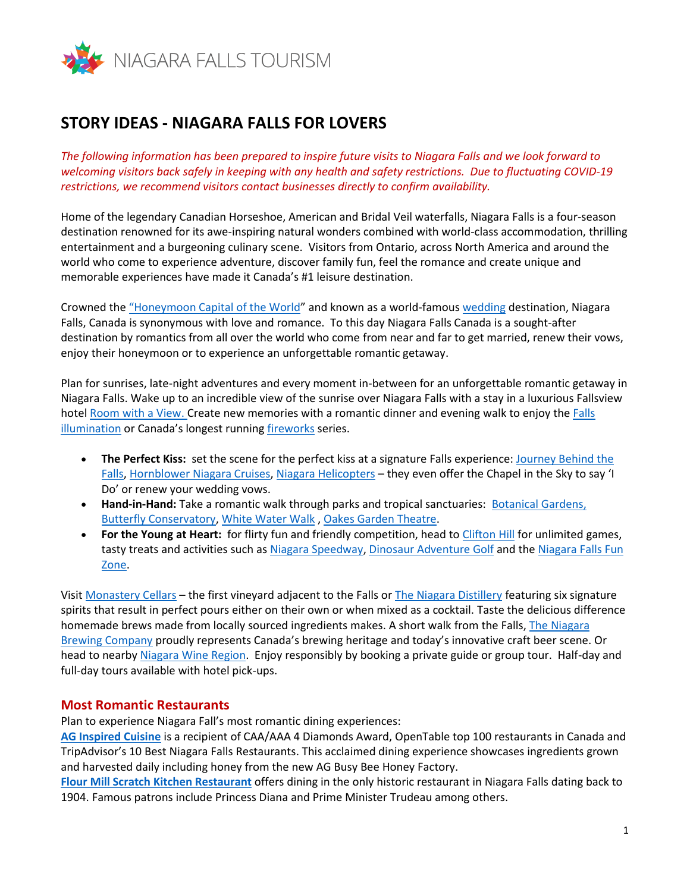

## **STORY IDEAS - NIAGARA FALLS FOR LOVERS**

*The following information has been prepared to inspire future visits to Niagara Falls and we look forward to welcoming visitors back safely in keeping with any health and safety restrictions. Due to fluctuating COVID-19 restrictions, we recommend visitors contact businesses directly to confirm availability.*

Home of the legendary Canadian Horseshoe, American and Bridal Veil waterfalls, Niagara Falls is a four-season destination renowned for its awe-inspiring natural wonders combined with world-class accommodation, thrilling entertainment and a burgeoning culinary scene. Visitors from Ontario, across North America and around the world who come to experience adventure, discover family fun, feel the romance and create unique and memorable experiences have made it Canada's #1 leisure destination.

Crowned the ["Honeymoon Capital of the World"](https://www.niagarafallstourism.com/weddings-honeymoons/) and known as a world-famou[s wedding](https://www.niagarafallstourism.com/weddings-honeymoons/) destination, Niagara Falls, Canada is synonymous with love and romance. To this day Niagara Falls Canada is a sought-after destination by romantics from all over the world who come from near and far to get married, renew their vows, enjoy their honeymoon or to experience an unforgettable romantic getaway.

Plan for sunrises, late-night adventures and every moment in-between for an unforgettable romantic getaway in Niagara Falls. Wake up to an incredible view of the sunrise over Niagara Falls with a stay in a luxurious Fallsview hote[l Room with a View.](https://www.niagarafallstourism.com/sleep/fallsview-hotels/) Create new memories with a romantic dinner and evening walk to enjoy the Falls [illumination](https://www.niagarafallstourism.com/illumination/) or Canada's longest running [fireworks](https://www.niagarafallstourism.com/fireworks/) series.

- **The Perfect Kiss:** set the scene for the perfect kiss at a signature Falls experience: [Journey Behind the](https://www.niagarafallstourism.com/play/falls-experiences/journey-behind-the-falls/)  [Falls,](https://www.niagarafallstourism.com/play/falls-experiences/journey-behind-the-falls/) [Hornblower Niagara Cruises,](https://www.niagarafallstourism.com/play/falls-experiences/hornblower/) [Niagara Helicopters](https://www.niagarafallstourism.com/play/falls-experiences/niagara-helicopters/) – they even offer the Chapel in the Sky to say 'I Do' or renew your wedding vows.
- **Hand-in-Hand:** Take a romantic walk through parks and tropical sanctuaries: [Botanical Gardens,](https://niagarafallstourism-my.sharepoint.com/personal/iknight_niagarafallstourism_com/Documents/NFT/Press%20Kit/Botanical%20Gardens) [Butterfly Conservatory,](https://www.niagarafallstourism.com/play/attractions/butterfly-conservatory/) [White Water Walk](https://www.niagarafallstourism.com/play/outdoor-recreation/white-water-walk/) , [Oakes Garden Theatre.](https://www.niagarafallstourism.com/play/outdoor-recreation/oakes-garden-theatre/)
- **For the Young at Heart:** for flirty fun and friendly competition, head to [Clifton Hill](https://www.niagarafallstourism.com/play/attractions/niagara-falls-fun-zone-clifton-hill/) for unlimited games, tasty treats and activities such a[s Niagara Speedway,](https://www.niagarafallstourism.com/play/attractions/niagara-speedway/) [Dinosaur Adventure Golf](https://www.niagarafallstourism.com/play/attractions/dinosaur-adventure-golf/) and the Niagara Falls Fun [Zone.](https://www.niagarafallstourism.com/play/attractions/niagara-falls-fun-zone/)

Visit [Monastery Cellars](https://www.niagarafallstourism.com/blog/niagaras-newest-winery-now-open/) – the first vineyard adjacent to the Falls o[r The Niagara Distillery](https://www.niagarafallstourism.com/play/wineries-breweries/niagara-distillery/) featuring six signature spirits that result in perfect pours either on their own or when mixed as a cocktail. Taste the delicious difference homemade brews made from locally sourced ingredients makes. A short walk from the Falls, The Niagara [Brewing Company](https://www.niagarafallstourism.com/play/wineries-breweries/niagara-brewing-company/) proudly represents Canada's brewing heritage and today's innovative craft beer scene. Or head to nearb[y Niagara Wine Region.](https://www.niagarafallstourism.com/play/wineries-breweries/) Enjoy responsibly by booking a private guide or group tour. Half-day and full-day tours available with hotel pick-ups.

## **Most Romantic Restaurants**

Plan to experience Niagara Fall's most romantic dining experiences:

**[AG Inspired Cuisine](https://www.niagarafallstourism.com/eat/fine-dining/ag-inspired-cuisine/)** is a recipient of CAA/AAA 4 Diamonds Award, OpenTable top 100 restaurants in Canada and TripAdvisor's 10 Best Niagara Falls Restaurants. This acclaimed dining experience showcases ingredients grown and harvested daily including honey from the new AG Busy Bee Honey Factory.

**[Flour Mill Scratch Kitchen Restaurant](https://www.niagarafallstourism.com/eat/fine-dining/flour-mill-scratch-kitchen-restaurant/)** offers dining in the only historic restaurant in Niagara Falls dating back to 1904. Famous patrons include Princess Diana and Prime Minister Trudeau among others.